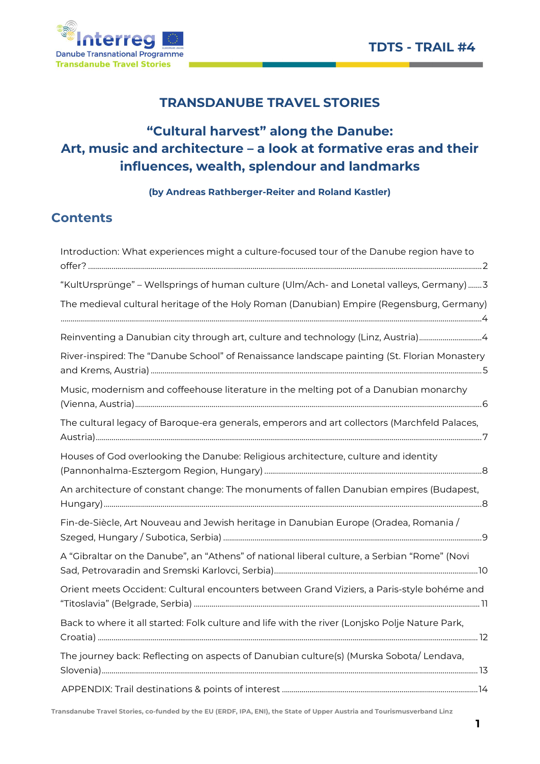

# TRANSDANUBE TRAVEL STORIES

# "Cultural harvest" along the Danube: Art, music and architecture – a look at formative eras and their influences, wealth, splendour and landmarks

(by Andreas Rathberger-Reiter and Roland Kastler)

# **Contents**

| Introduction: What experiences might a culture-focused tour of the Danube region have to       |
|------------------------------------------------------------------------------------------------|
| "KultUrsprünge" - Wellsprings of human culture (Ulm/Ach- and Lonetal valleys, Germany)3        |
| The medieval cultural heritage of the Holy Roman (Danubian) Empire (Regensburg, Germany)       |
| Reinventing a Danubian city through art, culture and technology (Linz, Austria)4               |
| River-inspired: The "Danube School" of Renaissance landscape painting (St. Florian Monastery   |
| Music, modernism and coffeehouse literature in the melting pot of a Danubian monarchy          |
| The cultural legacy of Baroque-era generals, emperors and art collectors (Marchfeld Palaces,   |
| Houses of God overlooking the Danube: Religious architecture, culture and identity             |
| An architecture of constant change: The monuments of fallen Danubian empires (Budapest,        |
| Fin-de-Siècle, Art Nouveau and Jewish heritage in Danubian Europe (Oradea, Romania /           |
| A "Gibraltar on the Danube", an "Athens" of national liberal culture, a Serbian "Rome" (Novi   |
| Orient meets Occident: Cultural encounters between Grand Viziers, a Paris-style bohéme and     |
| Back to where it all started: Folk culture and life with the river (Lonjsko Polje Nature Park, |
| The journey back: Reflecting on aspects of Danubian culture(s) (Murska Sobota/ Lendava,        |
|                                                                                                |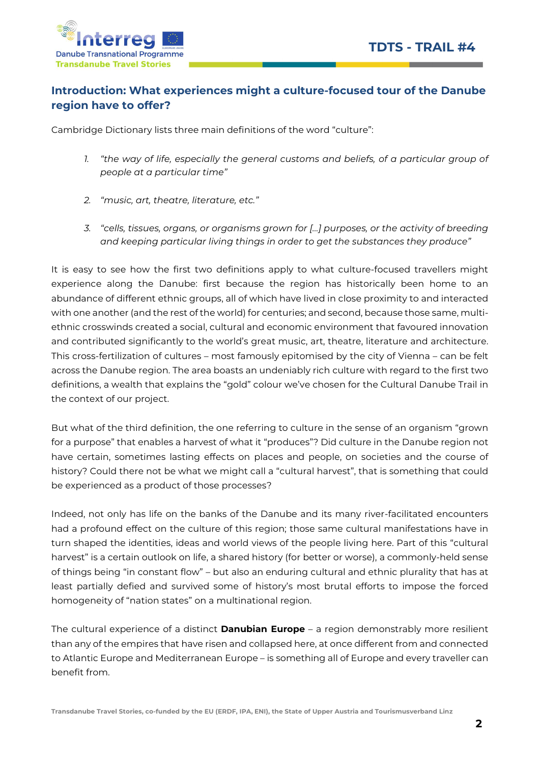



## Introduction: What experiences might a culture-focused tour of the Danube region have to offer?

Cambridge Dictionary lists three main definitions of the word "culture":

- 1. "the way of life, especially the general customs and beliefs, of a particular group of people at a particular time"
- 2. "music, art, theatre, literature, etc."
- 3. "cells, tissues, organs, or organisms grown for […] purposes, or the activity of breeding and keeping particular living things in order to get the substances they produce"

It is easy to see how the first two definitions apply to what culture-focused travellers might experience along the Danube: first because the region has historically been home to an abundance of different ethnic groups, all of which have lived in close proximity to and interacted with one another (and the rest of the world) for centuries; and second, because those same, multiethnic crosswinds created a social, cultural and economic environment that favoured innovation and contributed significantly to the world's great music, art, theatre, literature and architecture. This cross-fertilization of cultures – most famously epitomised by the city of Vienna – can be felt across the Danube region. The area boasts an undeniably rich culture with regard to the first two definitions, a wealth that explains the "gold" colour we've chosen for the Cultural Danube Trail in the context of our project.

But what of the third definition, the one referring to culture in the sense of an organism "grown for a purpose" that enables a harvest of what it "produces"? Did culture in the Danube region not have certain, sometimes lasting effects on places and people, on societies and the course of history? Could there not be what we might call a "cultural harvest", that is something that could be experienced as a product of those processes?

Indeed, not only has life on the banks of the Danube and its many river-facilitated encounters had a profound effect on the culture of this region; those same cultural manifestations have in turn shaped the identities, ideas and world views of the people living here. Part of this "cultural harvest" is a certain outlook on life, a shared history (for better or worse), a commonly-held sense of things being "in constant flow" – but also an enduring cultural and ethnic plurality that has at least partially defied and survived some of history's most brutal efforts to impose the forced homogeneity of "nation states" on a multinational region.

The cultural experience of a distinct **Danubian Europe** - a region demonstrably more resilient than any of the empires that have risen and collapsed here, at once different from and connected to Atlantic Europe and Mediterranean Europe – is something all of Europe and every traveller can benefit from.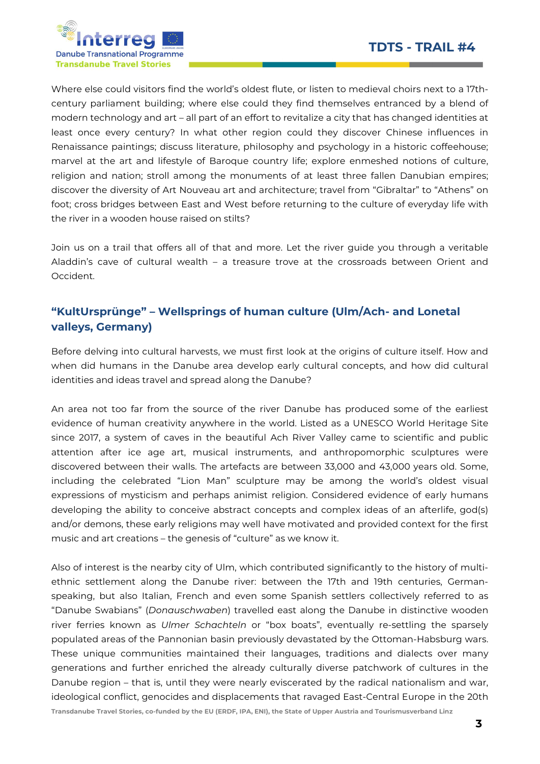

Where else could visitors find the world's oldest flute, or listen to medieval choirs next to a 17thcentury parliament building; where else could they find themselves entranced by a blend of modern technology and art – all part of an effort to revitalize a city that has changed identities at least once every century? In what other region could they discover Chinese influences in Renaissance paintings; discuss literature, philosophy and psychology in a historic coffeehouse; marvel at the art and lifestyle of Baroque country life; explore enmeshed notions of culture, religion and nation; stroll among the monuments of at least three fallen Danubian empires; discover the diversity of Art Nouveau art and architecture; travel from "Gibraltar" to "Athens" on foot; cross bridges between East and West before returning to the culture of everyday life with the river in a wooden house raised on stilts?

Join us on a trail that offers all of that and more. Let the river guide you through a veritable Aladdin's cave of cultural wealth – a treasure trove at the crossroads between Orient and Occident.

## "KultUrsprünge" – Wellsprings of human culture (Ulm/Ach- and Lonetal valleys, Germany)

Before delving into cultural harvests, we must first look at the origins of culture itself. How and when did humans in the Danube area develop early cultural concepts, and how did cultural identities and ideas travel and spread along the Danube?

An area not too far from the source of the river Danube has produced some of the earliest evidence of human creativity anywhere in the world. Listed as a UNESCO World Heritage Site since 2017, a system of caves in the beautiful Ach River Valley came to scientific and public attention after ice age art, musical instruments, and anthropomorphic sculptures were discovered between their walls. The artefacts are between 33,000 and 43,000 years old. Some, including the celebrated "Lion Man" sculpture may be among the world's oldest visual expressions of mysticism and perhaps animist religion. Considered evidence of early humans developing the ability to conceive abstract concepts and complex ideas of an afterlife, god(s) and/or demons, these early religions may well have motivated and provided context for the first music and art creations – the genesis of "culture" as we know it.

Transdanube Travel Stories, co-funded by the EU (ERDF, IPA, ENI), the State of Upper Austria and Tourismusverband Linz Also of interest is the nearby city of Ulm, which contributed significantly to the history of multiethnic settlement along the Danube river: between the 17th and 19th centuries, Germanspeaking, but also Italian, French and even some Spanish settlers collectively referred to as "Danube Swabians" (Donauschwaben) travelled east along the Danube in distinctive wooden river ferries known as Ulmer Schachteln or "box boats", eventually re-settling the sparsely populated areas of the Pannonian basin previously devastated by the Ottoman-Habsburg wars. These unique communities maintained their languages, traditions and dialects over many generations and further enriched the already culturally diverse patchwork of cultures in the Danube region – that is, until they were nearly eviscerated by the radical nationalism and war, ideological conflict, genocides and displacements that ravaged East-Central Europe in the 20th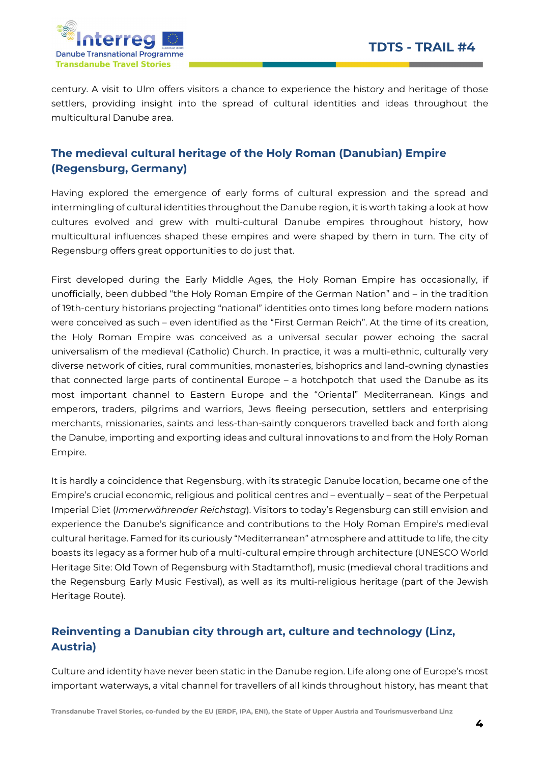

century. A visit to Ulm offers visitors a chance to experience the history and heritage of those settlers, providing insight into the spread of cultural identities and ideas throughout the multicultural Danube area.

## The medieval cultural heritage of the Holy Roman (Danubian) Empire (Regensburg, Germany)

Having explored the emergence of early forms of cultural expression and the spread and intermingling of cultural identities throughout the Danube region, it is worth taking a look at how cultures evolved and grew with multi-cultural Danube empires throughout history, how multicultural influences shaped these empires and were shaped by them in turn. The city of Regensburg offers great opportunities to do just that.

First developed during the Early Middle Ages, the Holy Roman Empire has occasionally, if unofficially, been dubbed "the Holy Roman Empire of the German Nation" and – in the tradition of 19th-century historians projecting "national" identities onto times long before modern nations were conceived as such – even identified as the "First German Reich". At the time of its creation, the Holy Roman Empire was conceived as a universal secular power echoing the sacral universalism of the medieval (Catholic) Church. In practice, it was a multi-ethnic, culturally very diverse network of cities, rural communities, monasteries, bishoprics and land-owning dynasties that connected large parts of continental Europe – a hotchpotch that used the Danube as its most important channel to Eastern Europe and the "Oriental" Mediterranean. Kings and emperors, traders, pilgrims and warriors, Jews fleeing persecution, settlers and enterprising merchants, missionaries, saints and less-than-saintly conquerors travelled back and forth along the Danube, importing and exporting ideas and cultural innovations to and from the Holy Roman Empire.

It is hardly a coincidence that Regensburg, with its strategic Danube location, became one of the Empire's crucial economic, religious and political centres and – eventually – seat of the Perpetual Imperial Diet (Immerwährender Reichstag). Visitors to today's Regensburg can still envision and experience the Danube's significance and contributions to the Holy Roman Empire's medieval cultural heritage. Famed for its curiously "Mediterranean" atmosphere and attitude to life, the city boasts its legacy as a former hub of a multi-cultural empire through architecture (UNESCO World Heritage Site: Old Town of Regensburg with Stadtamthof), music (medieval choral traditions and the Regensburg Early Music Festival), as well as its multi-religious heritage (part of the Jewish Heritage Route).

## Reinventing a Danubian city through art, culture and technology (Linz, Austria)

Culture and identity have never been static in the Danube region. Life along one of Europe's most important waterways, a vital channel for travellers of all kinds throughout history, has meant that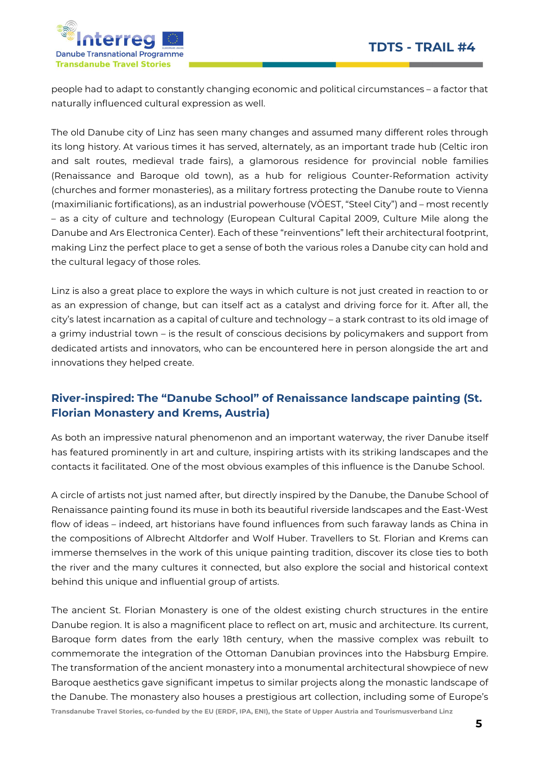

people had to adapt to constantly changing economic and political circumstances – a factor that naturally influenced cultural expression as well.

The old Danube city of Linz has seen many changes and assumed many different roles through its long history. At various times it has served, alternately, as an important trade hub (Celtic iron and salt routes, medieval trade fairs), a glamorous residence for provincial noble families (Renaissance and Baroque old town), as a hub for religious Counter-Reformation activity (churches and former monasteries), as a military fortress protecting the Danube route to Vienna (maximilianic fortifications), as an industrial powerhouse (VÖEST, "Steel City") and – most recently – as a city of culture and technology (European Cultural Capital 2009, Culture Mile along the Danube and Ars Electronica Center). Each of these "reinventions" left their architectural footprint, making Linz the perfect place to get a sense of both the various roles a Danube city can hold and the cultural legacy of those roles.

Linz is also a great place to explore the ways in which culture is not just created in reaction to or as an expression of change, but can itself act as a catalyst and driving force for it. After all, the city's latest incarnation as a capital of culture and technology – a stark contrast to its old image of a grimy industrial town – is the result of conscious decisions by policymakers and support from dedicated artists and innovators, who can be encountered here in person alongside the art and innovations they helped create.

## River-inspired: The "Danube School" of Renaissance landscape painting (St. Florian Monastery and Krems, Austria)

As both an impressive natural phenomenon and an important waterway, the river Danube itself has featured prominently in art and culture, inspiring artists with its striking landscapes and the contacts it facilitated. One of the most obvious examples of this influence is the Danube School.

A circle of artists not just named after, but directly inspired by the Danube, the Danube School of Renaissance painting found its muse in both its beautiful riverside landscapes and the East-West flow of ideas – indeed, art historians have found influences from such faraway lands as China in the compositions of Albrecht Altdorfer and Wolf Huber. Travellers to St. Florian and Krems can immerse themselves in the work of this unique painting tradition, discover its close ties to both the river and the many cultures it connected, but also explore the social and historical context behind this unique and influential group of artists.

Transdanube Travel Stories, co-funded by the EU (ERDF, IPA, ENI), the State of Upper Austria and Tourismusverband Linz The ancient St. Florian Monastery is one of the oldest existing church structures in the entire Danube region. It is also a magnificent place to reflect on art, music and architecture. Its current, Baroque form dates from the early 18th century, when the massive complex was rebuilt to commemorate the integration of the Ottoman Danubian provinces into the Habsburg Empire. The transformation of the ancient monastery into a monumental architectural showpiece of new Baroque aesthetics gave significant impetus to similar projects along the monastic landscape of the Danube. The monastery also houses a prestigious art collection, including some of Europe's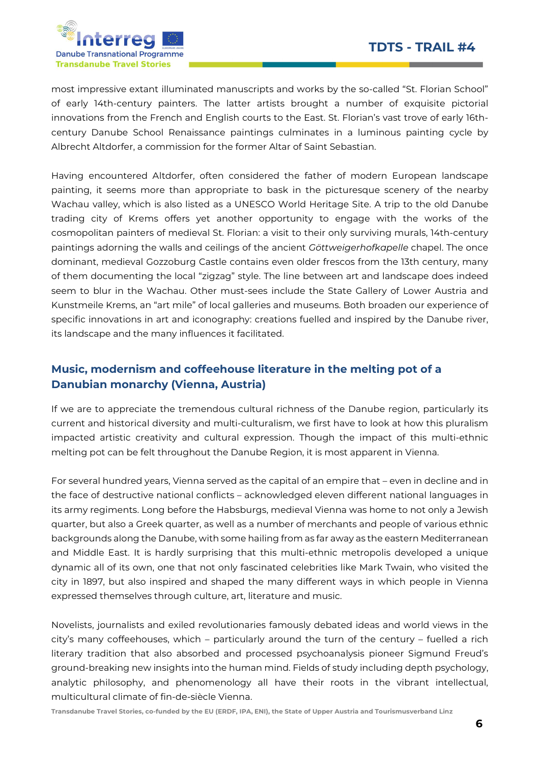

most impressive extant illuminated manuscripts and works by the so-called "St. Florian School" of early 14th-century painters. The latter artists brought a number of exquisite pictorial innovations from the French and English courts to the East. St. Florian's vast trove of early 16thcentury Danube School Renaissance paintings culminates in a luminous painting cycle by Albrecht Altdorfer, a commission for the former Altar of Saint Sebastian.

Having encountered Altdorfer, often considered the father of modern European landscape painting, it seems more than appropriate to bask in the picturesque scenery of the nearby Wachau valley, which is also listed as a UNESCO World Heritage Site. A trip to the old Danube trading city of Krems offers yet another opportunity to engage with the works of the cosmopolitan painters of medieval St. Florian: a visit to their only surviving murals, 14th-century paintings adorning the walls and ceilings of the ancient Göttweigerhofkapelle chapel. The once dominant, medieval Gozzoburg Castle contains even older frescos from the 13th century, many of them documenting the local "zigzag" style. The line between art and landscape does indeed seem to blur in the Wachau. Other must-sees include the State Gallery of Lower Austria and Kunstmeile Krems, an "art mile" of local galleries and museums. Both broaden our experience of specific innovations in art and iconography: creations fuelled and inspired by the Danube river, its landscape and the many influences it facilitated.

## Music, modernism and coffeehouse literature in the melting pot of a Danubian monarchy (Vienna, Austria)

If we are to appreciate the tremendous cultural richness of the Danube region, particularly its current and historical diversity and multi-culturalism, we first have to look at how this pluralism impacted artistic creativity and cultural expression. Though the impact of this multi-ethnic melting pot can be felt throughout the Danube Region, it is most apparent in Vienna.

For several hundred years, Vienna served as the capital of an empire that – even in decline and in the face of destructive national conflicts – acknowledged eleven different national languages in its army regiments. Long before the Habsburgs, medieval Vienna was home to not only a Jewish quarter, but also a Greek quarter, as well as a number of merchants and people of various ethnic backgrounds along the Danube, with some hailing from as far away as the eastern Mediterranean and Middle East. It is hardly surprising that this multi-ethnic metropolis developed a unique dynamic all of its own, one that not only fascinated celebrities like Mark Twain, who visited the city in 1897, but also inspired and shaped the many different ways in which people in Vienna expressed themselves through culture, art, literature and music.

Novelists, journalists and exiled revolutionaries famously debated ideas and world views in the city's many coffeehouses, which – particularly around the turn of the century – fuelled a rich literary tradition that also absorbed and processed psychoanalysis pioneer Sigmund Freud's ground-breaking new insights into the human mind. Fields of study including depth psychology, analytic philosophy, and phenomenology all have their roots in the vibrant intellectual, multicultural climate of fin-de-siècle Vienna.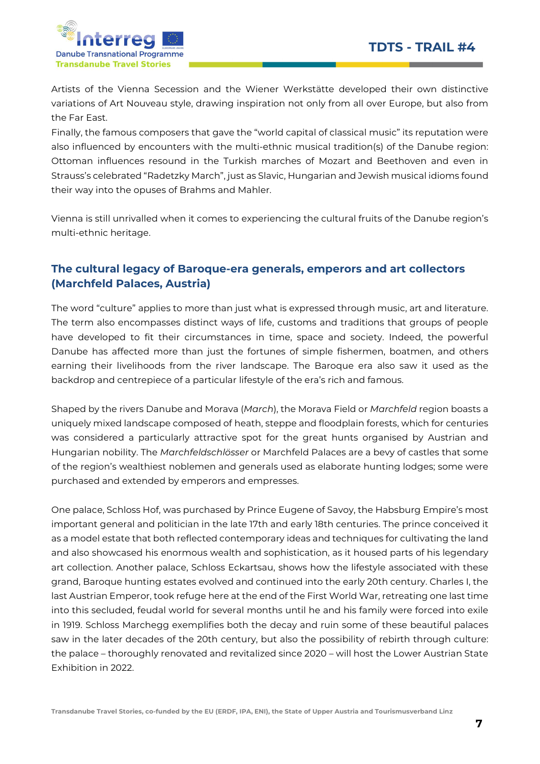

Artists of the Vienna Secession and the Wiener Werkstätte developed their own distinctive variations of Art Nouveau style, drawing inspiration not only from all over Europe, but also from the Far East.

Finally, the famous composers that gave the "world capital of classical music" its reputation were also influenced by encounters with the multi-ethnic musical tradition(s) of the Danube region: Ottoman influences resound in the Turkish marches of Mozart and Beethoven and even in Strauss's celebrated "Radetzky March", just as Slavic, Hungarian and Jewish musical idioms found their way into the opuses of Brahms and Mahler.

Vienna is still unrivalled when it comes to experiencing the cultural fruits of the Danube region's multi-ethnic heritage.

## The cultural legacy of Baroque-era generals, emperors and art collectors (Marchfeld Palaces, Austria)

The word "culture" applies to more than just what is expressed through music, art and literature. The term also encompasses distinct ways of life, customs and traditions that groups of people have developed to fit their circumstances in time, space and society. Indeed, the powerful Danube has affected more than just the fortunes of simple fishermen, boatmen, and others earning their livelihoods from the river landscape. The Baroque era also saw it used as the backdrop and centrepiece of a particular lifestyle of the era's rich and famous.

Shaped by the rivers Danube and Morava (March), the Morava Field or Marchfeld region boasts a uniquely mixed landscape composed of heath, steppe and floodplain forests, which for centuries was considered a particularly attractive spot for the great hunts organised by Austrian and Hungarian nobility. The Marchfeldschlösser or Marchfeld Palaces are a bevy of castles that some of the region's wealthiest noblemen and generals used as elaborate hunting lodges; some were purchased and extended by emperors and empresses.

One palace, Schloss Hof, was purchased by Prince Eugene of Savoy, the Habsburg Empire's most important general and politician in the late 17th and early 18th centuries. The prince conceived it as a model estate that both reflected contemporary ideas and techniques for cultivating the land and also showcased his enormous wealth and sophistication, as it housed parts of his legendary art collection. Another palace, Schloss Eckartsau, shows how the lifestyle associated with these grand, Baroque hunting estates evolved and continued into the early 20th century. Charles I, the last Austrian Emperor, took refuge here at the end of the First World War, retreating one last time into this secluded, feudal world for several months until he and his family were forced into exile in 1919. Schloss Marchegg exemplifies both the decay and ruin some of these beautiful palaces saw in the later decades of the 20th century, but also the possibility of rebirth through culture: the palace – thoroughly renovated and revitalized since 2020 – will host the Lower Austrian State Exhibition in 2022.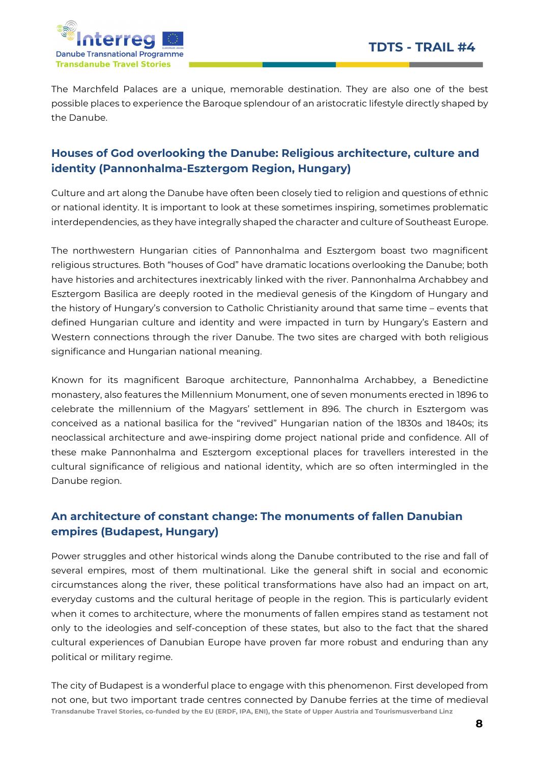

The Marchfeld Palaces are a unique, memorable destination. They are also one of the best possible places to experience the Baroque splendour of an aristocratic lifestyle directly shaped by the Danube.

## Houses of God overlooking the Danube: Religious architecture, culture and identity (Pannonhalma-Esztergom Region, Hungary)

Culture and art along the Danube have often been closely tied to religion and questions of ethnic or national identity. It is important to look at these sometimes inspiring, sometimes problematic interdependencies, as they have integrally shaped the character and culture of Southeast Europe.

The northwestern Hungarian cities of Pannonhalma and Esztergom boast two magnificent religious structures. Both "houses of God" have dramatic locations overlooking the Danube; both have histories and architectures inextricably linked with the river. Pannonhalma Archabbey and Esztergom Basilica are deeply rooted in the medieval genesis of the Kingdom of Hungary and the history of Hungary's conversion to Catholic Christianity around that same time – events that defined Hungarian culture and identity and were impacted in turn by Hungary's Eastern and Western connections through the river Danube. The two sites are charged with both religious significance and Hungarian national meaning.

Known for its magnificent Baroque architecture, Pannonhalma Archabbey, a Benedictine monastery, also features the Millennium Monument, one of seven monuments erected in 1896 to celebrate the millennium of the Magyars' settlement in 896. The church in Esztergom was conceived as a national basilica for the "revived" Hungarian nation of the 1830s and 1840s; its neoclassical architecture and awe-inspiring dome project national pride and confidence. All of these make Pannonhalma and Esztergom exceptional places for travellers interested in the cultural significance of religious and national identity, which are so often intermingled in the Danube region.

## An architecture of constant change: The monuments of fallen Danubian empires (Budapest, Hungary)

Power struggles and other historical winds along the Danube contributed to the rise and fall of several empires, most of them multinational. Like the general shift in social and economic circumstances along the river, these political transformations have also had an impact on art, everyday customs and the cultural heritage of people in the region. This is particularly evident when it comes to architecture, where the monuments of fallen empires stand as testament not only to the ideologies and self-conception of these states, but also to the fact that the shared cultural experiences of Danubian Europe have proven far more robust and enduring than any political or military regime.

Transdanube Travel Stories, co-funded by the EU (ERDF, IPA, ENI), the State of Upper Austria and Tourismusverband Linz The city of Budapest is a wonderful place to engage with this phenomenon. First developed from not one, but two important trade centres connected by Danube ferries at the time of medieval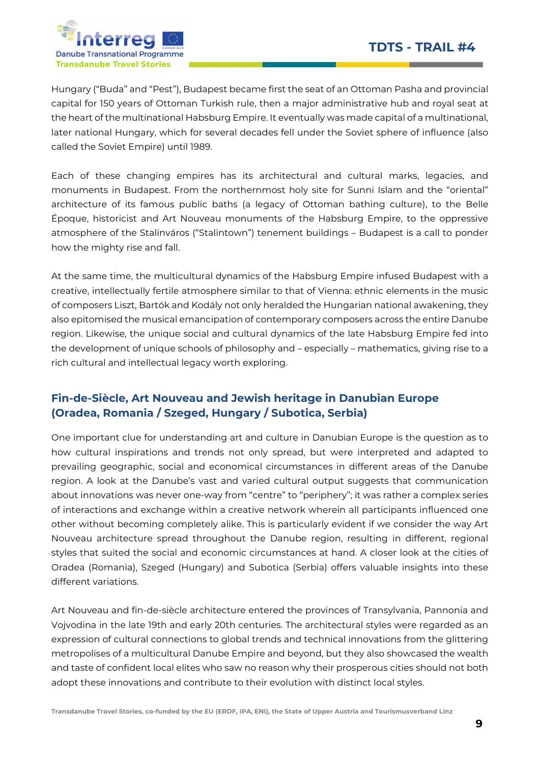

Hungary ("Buda" and "Pest"), Budapest became first the seat of an Ottoman Pasha and provincial capital for 150 years of Ottoman Turkish rule, then a major administrative hub and royal seat at the heart of the multinational Habsburg Empire. It eventually was made capital of a multinational, later national Hungary, which for several decades fell under the Soviet sphere of influence (also called the Soviet Empire) until 1989.

Each of these changing empires has its architectural and cultural marks, legacies, and monuments in Budapest. From the northernmost holy site for Sunni Islam and the "oriental" architecture of its famous public baths (a legacy of Ottoman bathing culture), to the Belle Époque, historicist and Art Nouveau monuments of the Habsburg Empire, to the oppressive atmosphere of the Stalinváros ("Stalintown") tenement buildings – Budapest is a call to ponder how the mighty rise and fall.

At the same time, the multicultural dynamics of the Habsburg Empire infused Budapest with a creative, intellectually fertile atmosphere similar to that of Vienna: ethnic elements in the music of composers Liszt, Bartók and Kodály not only heralded the Hungarian national awakening, they also epitomised the musical emancipation of contemporary composers across the entire Danube region. Likewise, the unique social and cultural dynamics of the late Habsburg Empire fed into the development of unique schools of philosophy and – especially – mathematics, giving rise to a rich cultural and intellectual legacy worth exploring.

## Fin-de-Siècle, Art Nouveau and Jewish heritage in Danubian Europe (Oradea, Romania / Szeged, Hungary / Subotica, Serbia)

One important clue for understanding art and culture in Danubian Europe is the question as to how cultural inspirations and trends not only spread, but were interpreted and adapted to prevailing geographic, social and economical circumstances in different areas of the Danube region. A look at the Danube's vast and varied cultural output suggests that communication about innovations was never one-way from "centre" to "periphery"; it was rather a complex series of interactions and exchange within a creative network wherein all participants influenced one other without becoming completely alike. This is particularly evident if we consider the way Art Nouveau architecture spread throughout the Danube region, resulting in different, regional styles that suited the social and economic circumstances at hand. A closer look at the cities of Oradea (Romania), Szeged (Hungary) and Subotica (Serbia) offers valuable insights into these different variations.

Art Nouveau and fin-de-siècle architecture entered the provinces of Transylvania, Pannonia and Vojvodina in the late 19th and early 20th centuries. The architectural styles were regarded as an expression of cultural connections to global trends and technical innovations from the glittering metropolises of a multicultural Danube Empire and beyond, but they also showcased the wealth and taste of confident local elites who saw no reason why their prosperous cities should not both adopt these innovations and contribute to their evolution with distinct local styles.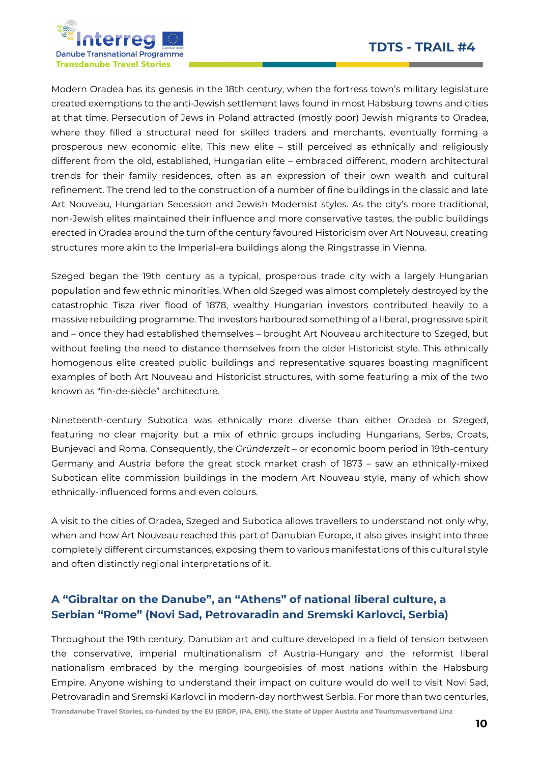

Modern Oradea has its genesis in the 18th century, when the fortress town's military legislature created exemptions to the anti-Jewish settlement laws found in most Habsburg towns and cities at that time. Persecution of Jews in Poland attracted (mostly poor) Jewish migrants to Oradea, where they filled a structural need for skilled traders and merchants, eventually forming a prosperous new economic elite. This new elite – still perceived as ethnically and religiously different from the old, established, Hungarian elite – embraced different, modern architectural trends for their family residences, often as an expression of their own wealth and cultural refinement. The trend led to the construction of a number of fine buildings in the classic and late Art Nouveau, Hungarian Secession and Jewish Modernist styles. As the city's more traditional, non-Jewish elites maintained their influence and more conservative tastes, the public buildings erected in Oradea around the turn of the century favoured Historicism over Art Nouveau, creating structures more akin to the Imperial-era buildings along the Ringstrasse in Vienna.

Szeged began the 19th century as a typical, prosperous trade city with a largely Hungarian population and few ethnic minorities. When old Szeged was almost completely destroyed by the catastrophic Tisza river flood of 1878, wealthy Hungarian investors contributed heavily to a massive rebuilding programme. The investors harboured something of a liberal, progressive spirit and – once they had established themselves – brought Art Nouveau architecture to Szeged, but without feeling the need to distance themselves from the older Historicist style. This ethnically homogenous elite created public buildings and representative squares boasting magnificent examples of both Art Nouveau and Historicist structures, with some featuring a mix of the two known as "fin-de-siècle" architecture.

Nineteenth-century Subotica was ethnically more diverse than either Oradea or Szeged, featuring no clear majority but a mix of ethnic groups including Hungarians, Serbs, Croats, Bunjevaci and Roma. Consequently, the Gründerzeit – or economic boom period in 19th-century Germany and Austria before the great stock market crash of 1873 – saw an ethnically-mixed Subotican elite commission buildings in the modern Art Nouveau style, many of which show ethnically-influenced forms and even colours.

A visit to the cities of Oradea, Szeged and Subotica allows travellers to understand not only why, when and how Art Nouveau reached this part of Danubian Europe, it also gives insight into three completely different circumstances, exposing them to various manifestations of this cultural style and often distinctly regional interpretations of it.

## A "Gibraltar on the Danube", an "Athens" of national liberal culture, a Serbian "Rome" (Novi Sad, Petrovaradin and Sremski Karlovci, Serbia)

Throughout the 19th century, Danubian art and culture developed in a field of tension between the conservative, imperial multinationalism of Austria-Hungary and the reformist liberal nationalism embraced by the merging bourgeoisies of most nations within the Habsburg Empire. Anyone wishing to understand their impact on culture would do well to visit Novi Sad, Petrovaradin and Sremski Karlovci in modern-day northwest Serbia. For more than two centuries,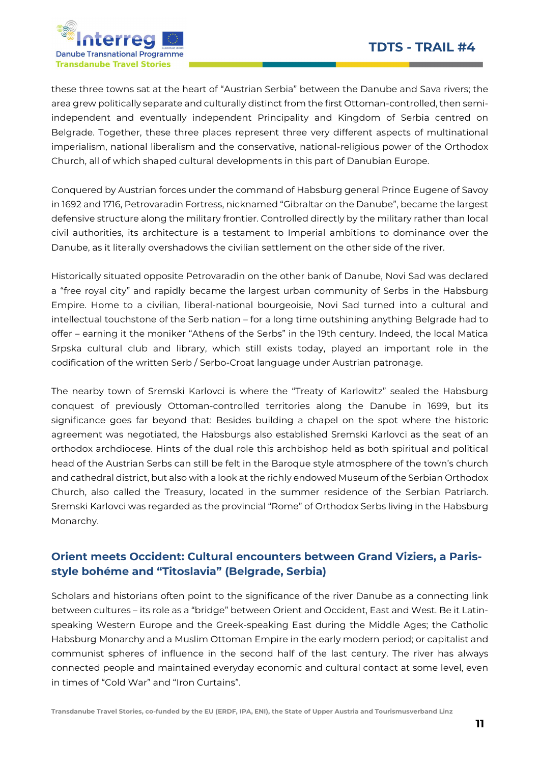

these three towns sat at the heart of "Austrian Serbia" between the Danube and Sava rivers; the area grew politically separate and culturally distinct from the first Ottoman-controlled, then semiindependent and eventually independent Principality and Kingdom of Serbia centred on Belgrade. Together, these three places represent three very different aspects of multinational imperialism, national liberalism and the conservative, national-religious power of the Orthodox Church, all of which shaped cultural developments in this part of Danubian Europe.

Conquered by Austrian forces under the command of Habsburg general Prince Eugene of Savoy in 1692 and 1716, Petrovaradin Fortress, nicknamed "Gibraltar on the Danube", became the largest defensive structure along the military frontier. Controlled directly by the military rather than local civil authorities, its architecture is a testament to Imperial ambitions to dominance over the Danube, as it literally overshadows the civilian settlement on the other side of the river.

Historically situated opposite Petrovaradin on the other bank of Danube, Novi Sad was declared a "free royal city" and rapidly became the largest urban community of Serbs in the Habsburg Empire. Home to a civilian, liberal-national bourgeoisie, Novi Sad turned into a cultural and intellectual touchstone of the Serb nation – for a long time outshining anything Belgrade had to offer – earning it the moniker "Athens of the Serbs" in the 19th century. Indeed, the local Matica Srpska cultural club and library, which still exists today, played an important role in the codification of the written Serb / Serbo-Croat language under Austrian patronage.

The nearby town of Sremski Karlovci is where the "Treaty of Karlowitz" sealed the Habsburg conquest of previously Ottoman-controlled territories along the Danube in 1699, but its significance goes far beyond that: Besides building a chapel on the spot where the historic agreement was negotiated, the Habsburgs also established Sremski Karlovci as the seat of an orthodox archdiocese. Hints of the dual role this archbishop held as both spiritual and political head of the Austrian Serbs can still be felt in the Baroque style atmosphere of the town's church and cathedral district, but also with a look at the richly endowed Museum of the Serbian Orthodox Church, also called the Treasury, located in the summer residence of the Serbian Patriarch. Sremski Karlovci was regarded as the provincial "Rome" of Orthodox Serbs living in the Habsburg Monarchy.

## Orient meets Occident: Cultural encounters between Grand Viziers, a Parisstyle bohéme and "Titoslavia" (Belgrade, Serbia)

Scholars and historians often point to the significance of the river Danube as a connecting link between cultures – its role as a "bridge" between Orient and Occident, East and West. Be it Latinspeaking Western Europe and the Greek-speaking East during the Middle Ages; the Catholic Habsburg Monarchy and a Muslim Ottoman Empire in the early modern period; or capitalist and communist spheres of influence in the second half of the last century. The river has always connected people and maintained everyday economic and cultural contact at some level, even in times of "Cold War" and "Iron Curtains".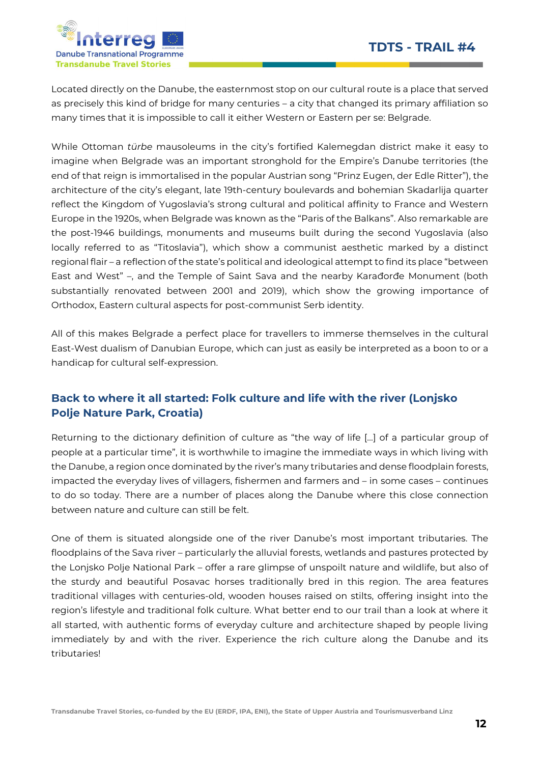

Located directly on the Danube, the easternmost stop on our cultural route is a place that served as precisely this kind of bridge for many centuries – a city that changed its primary affiliation so many times that it is impossible to call it either Western or Eastern per se: Belgrade.

While Ottoman türbe mausoleums in the city's fortified Kalemegdan district make it easy to imagine when Belgrade was an important stronghold for the Empire's Danube territories (the end of that reign is immortalised in the popular Austrian song "Prinz Eugen, der Edle Ritter"), the architecture of the city's elegant, late 19th-century boulevards and bohemian Skadarlija quarter reflect the Kingdom of Yugoslavia's strong cultural and political affinity to France and Western Europe in the 1920s, when Belgrade was known as the "Paris of the Balkans". Also remarkable are the post-1946 buildings, monuments and museums built during the second Yugoslavia (also locally referred to as "Titoslavia"), which show a communist aesthetic marked by a distinct regional flair – a reflection of the state's political and ideological attempt to find its place "between East and West" –, and the Temple of Saint Sava and the nearby Karađorđe Monument (both substantially renovated between 2001 and 2019), which show the growing importance of Orthodox, Eastern cultural aspects for post-communist Serb identity.

All of this makes Belgrade a perfect place for travellers to immerse themselves in the cultural East-West dualism of Danubian Europe, which can just as easily be interpreted as a boon to or a handicap for cultural self-expression.

## Back to where it all started: Folk culture and life with the river (Lonjsko Polje Nature Park, Croatia)

Returning to the dictionary definition of culture as "the way of life […] of a particular group of people at a particular time", it is worthwhile to imagine the immediate ways in which living with the Danube, a region once dominated by the river's many tributaries and dense floodplain forests, impacted the everyday lives of villagers, fishermen and farmers and – in some cases – continues to do so today. There are a number of places along the Danube where this close connection between nature and culture can still be felt.

One of them is situated alongside one of the river Danube's most important tributaries. The floodplains of the Sava river – particularly the alluvial forests, wetlands and pastures protected by the Lonjsko Polje National Park – offer a rare glimpse of unspoilt nature and wildlife, but also of the sturdy and beautiful Posavac horses traditionally bred in this region. The area features traditional villages with centuries-old, wooden houses raised on stilts, offering insight into the region's lifestyle and traditional folk culture. What better end to our trail than a look at where it all started, with authentic forms of everyday culture and architecture shaped by people living immediately by and with the river. Experience the rich culture along the Danube and its tributaries!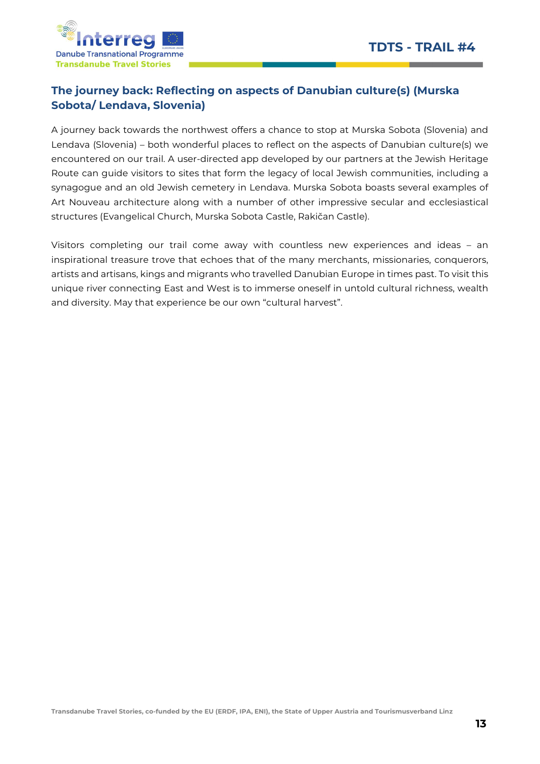

## The journey back: Reflecting on aspects of Danubian culture(s) (Murska Sobota/ Lendava, Slovenia)

A journey back towards the northwest offers a chance to stop at Murska Sobota (Slovenia) and Lendava (Slovenia) – both wonderful places to reflect on the aspects of Danubian culture(s) we encountered on our trail. A user-directed app developed by our partners at the Jewish Heritage Route can guide visitors to sites that form the legacy of local Jewish communities, including a synagogue and an old Jewish cemetery in Lendava. Murska Sobota boasts several examples of Art Nouveau architecture along with a number of other impressive secular and ecclesiastical structures (Evangelical Church, Murska Sobota Castle, Rakičan Castle).

Visitors completing our trail come away with countless new experiences and ideas – an inspirational treasure trove that echoes that of the many merchants, missionaries, conquerors, artists and artisans, kings and migrants who travelled Danubian Europe in times past. To visit this unique river connecting East and West is to immerse oneself in untold cultural richness, wealth and diversity. May that experience be our own "cultural harvest".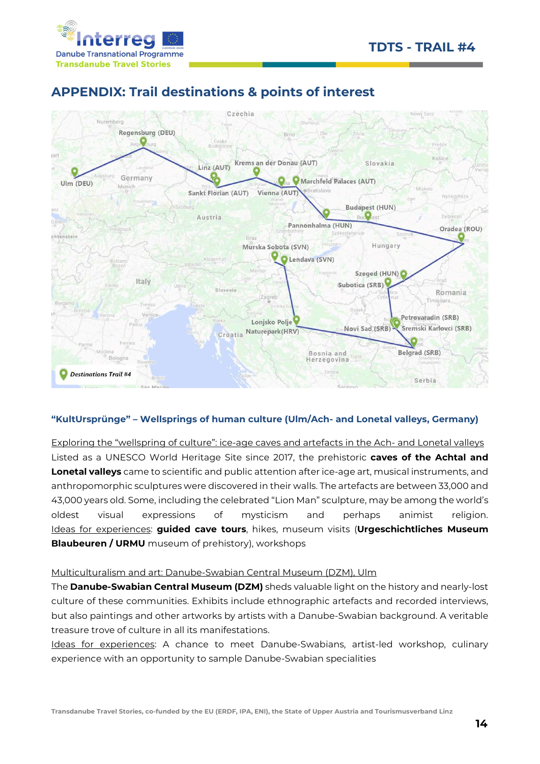



# APPENDIX: Trail destinations & points of interest



#### "KultUrsprünge" – Wellsprings of human culture (Ulm/Ach- and Lonetal valleys, Germany)

Exploring the "wellspring of culture": ice-age caves and artefacts in the Ach- and Lonetal valleys Listed as a UNESCO World Heritage Site since 2017, the prehistoric caves of the Achtal and Lonetal valleys came to scientific and public attention after ice-age art, musical instruments, and anthropomorphic sculptures were discovered in their walls. The artefacts are between 33,000 and 43,000 years old. Some, including the celebrated "Lion Man" sculpture, may be among the world's oldest visual expressions of mysticism and perhaps animist religion. Ideas for experiences: guided cave tours, hikes, museum visits (Urgeschichtliches Museum **Blaubeuren / URMU** museum of prehistory), workshops

#### Multiculturalism and art: Danube-Swabian Central Museum (DZM), Ulm

The **Danube-Swabian Central Museum (DZM)** sheds valuable light on the history and nearly-lost culture of these communities. Exhibits include ethnographic artefacts and recorded interviews, but also paintings and other artworks by artists with a Danube-Swabian background. A veritable treasure trove of culture in all its manifestations.

Ideas for experiences: A chance to meet Danube-Swabians, artist-led workshop, culinary experience with an opportunity to sample Danube-Swabian specialities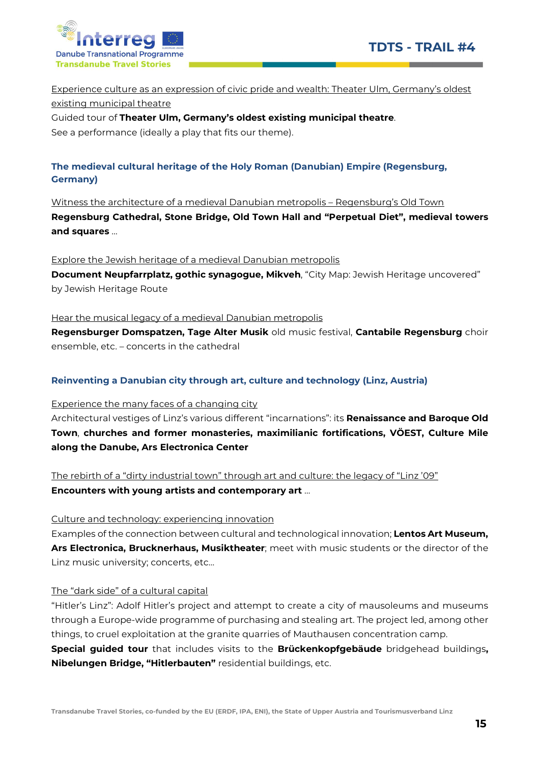

Experience culture as an expression of civic pride and wealth: Theater Ulm, Germany's oldest existing municipal theatre

Guided tour of Theater Ulm, Germany's oldest existing municipal theatre. See a performance (ideally a play that fits our theme).

#### The medieval cultural heritage of the Holy Roman (Danubian) Empire (Regensburg, Germany)

Witness the architecture of a medieval Danubian metropolis – Regensburg's Old Town Regensburg Cathedral, Stone Bridge, Old Town Hall and "Perpetual Diet", medieval towers and squares …

Explore the Jewish heritage of a medieval Danubian metropolis Document Neupfarrplatz, gothic synagogue, Mikveh, "City Map: Jewish Heritage uncovered" by Jewish Heritage Route

Hear the musical legacy of a medieval Danubian metropolis Regensburger Domspatzen, Tage Alter Musik old music festival, Cantabile Regensburg choir ensemble, etc. – concerts in the cathedral

#### Reinventing a Danubian city through art, culture and technology (Linz, Austria)

Experience the many faces of a changing city Architectural vestiges of Linz's various different "incarnations": its Renaissance and Baroque Old Town, churches and former monasteries, maximilianic fortifications, VÖEST, Culture Mile along the Danube, Ars Electronica Center

The rebirth of a "dirty industrial town" through art and culture: the legacy of "Linz '09" Encounters with young artists and contemporary art …

Culture and technology: experiencing innovation

Examples of the connection between cultural and technological innovation; Lentos Art Museum, Ars Electronica, Brucknerhaus, Musiktheater; meet with music students or the director of the Linz music university; concerts, etc…

#### The "dark side" of a cultural capital

"Hitler's Linz": Adolf Hitler's project and attempt to create a city of mausoleums and museums through a Europe-wide programme of purchasing and stealing art. The project led, among other things, to cruel exploitation at the granite quarries of Mauthausen concentration camp. Special guided tour that includes visits to the Brückenkopfgebäude bridgehead buildings, Nibelungen Bridge, "Hitlerbauten" residential buildings, etc.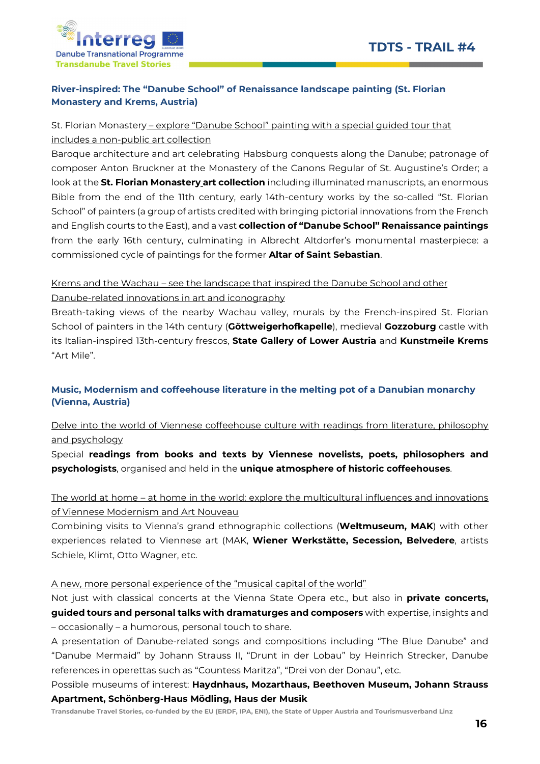

#### River-inspired: The "Danube School" of Renaissance landscape painting (St. Florian Monastery and Krems, Austria)

## St. Florian Monastery – explore "Danube School" painting with a special guided tour that includes a non-public art collection

Baroque architecture and art celebrating Habsburg conquests along the Danube; patronage of composer Anton Bruckner at the Monastery of the Canons Regular of St. Augustine's Order; a look at the St. Florian Monastery art collection including illuminated manuscripts, an enormous Bible from the end of the 11th century, early 14th-century works by the so-called "St. Florian School" of painters (a group of artists credited with bringing pictorial innovations from the French and English courts to the East), and a vast **collection of "Danube School" Renaissance paintings** from the early 16th century, culminating in Albrecht Altdorfer's monumental masterpiece: a commissioned cycle of paintings for the former **Altar of Saint Sebastian**.

# Krems and the Wachau – see the landscape that inspired the Danube School and other

## Danube-related innovations in art and iconography

Breath-taking views of the nearby Wachau valley, murals by the French-inspired St. Florian School of painters in the 14th century (Göttweigerhofkapelle), medieval Gozzoburg castle with its Italian-inspired 13th-century frescos, State Gallery of Lower Austria and Kunstmeile Krems "Art Mile".

## Music, Modernism and coffeehouse literature in the melting pot of a Danubian monarchy (Vienna, Austria)

## Delve into the world of Viennese coffeehouse culture with readings from literature, philosophy and psychology

Special readings from books and texts by Viennese novelists, poets, philosophers and psychologists, organised and held in the unique atmosphere of historic coffeehouses.

## The world at home – at home in the world: explore the multicultural influences and innovations of Viennese Modernism and Art Nouveau

Combining visits to Vienna's grand ethnographic collections (**Weltmuseum, MAK**) with other experiences related to Viennese art (MAK, Wiener Werkstätte, Secession, Belvedere, artists Schiele, Klimt, Otto Wagner, etc.

#### A new, more personal experience of the "musical capital of the world"

Not just with classical concerts at the Vienna State Opera etc., but also in **private concerts,** guided tours and personal talks with dramaturges and composers with expertise, insights and – occasionally – a humorous, personal touch to share.

A presentation of Danube-related songs and compositions including "The Blue Danube" and "Danube Mermaid" by Johann Strauss II, "Drunt in der Lobau" by Heinrich Strecker, Danube references in operettas such as "Countess Maritza", "Drei von der Donau", etc.

#### Possible museums of interest: Haydnhaus, Mozarthaus, Beethoven Museum, Johann Strauss Apartment, Schönberg-Haus Mödling, Haus der Musik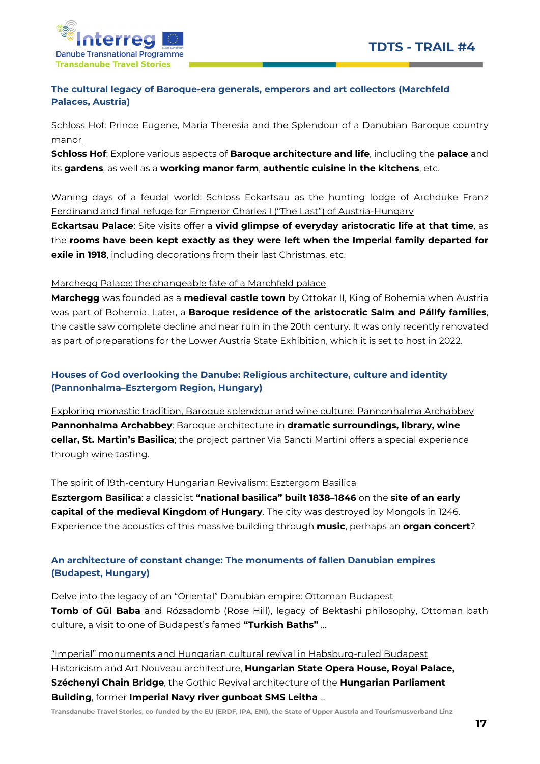

#### The cultural legacy of Baroque-era generals, emperors and art collectors (Marchfeld Palaces, Austria)

#### Schloss Hof: Prince Eugene, Maria Theresia and the Splendour of a Danubian Baroque country manor

Schloss Hof: Explore various aspects of Baroque architecture and life, including the palace and its gardens, as well as a working manor farm, authentic cuisine in the kitchens, etc.

Waning days of a feudal world: Schloss Eckartsau as the hunting lodge of Archduke Franz Ferdinand and final refuge for Emperor Charles I ("The Last") of Austria-Hungary

Eckartsau Palace: Site visits offer a vivid glimpse of everyday aristocratic life at that time, as the rooms have been kept exactly as they were left when the Imperial family departed for exile in 1918, including decorations from their last Christmas, etc.

#### Marchegg Palace: the changeable fate of a Marchfeld palace

Marchegg was founded as a medieval castle town by Ottokar II, King of Bohemia when Austria was part of Bohemia. Later, a Baroque residence of the aristocratic Salm and Pállfy families, the castle saw complete decline and near ruin in the 20th century. It was only recently renovated as part of preparations for the Lower Austria State Exhibition, which it is set to host in 2022.

#### Houses of God overlooking the Danube: Religious architecture, culture and identity (Pannonhalma–Esztergom Region, Hungary)

Exploring monastic tradition, Baroque splendour and wine culture: Pannonhalma Archabbey Pannonhalma Archabbey: Baroque architecture in dramatic surroundings, library, wine cellar, St. Martin's Basilica; the project partner Via Sancti Martini offers a special experience through wine tasting.

#### The spirit of 19th-century Hungarian Revivalism: Esztergom Basilica

Esztergom Basilica: a classicist "national basilica" built 1838–1846 on the site of an early capital of the medieval Kingdom of Hungary. The city was destroyed by Mongols in 1246. Experience the acoustics of this massive building through music, perhaps an organ concert?

#### An architecture of constant change: The monuments of fallen Danubian empires (Budapest, Hungary)

#### Delve into the legacy of an "Oriental" Danubian empire: Ottoman Budapest

Tomb of Gül Baba and Rózsadomb (Rose Hill), legacy of Bektashi philosophy, Ottoman bath culture, a visit to one of Budapest's famed "Turkish Baths" ...

## "Imperial" monuments and Hungarian cultural revival in Habsburg-ruled Budapest

Historicism and Art Nouveau architecture, Hungarian State Opera House, Royal Palace, **Széchenyi Chain Bridge**, the Gothic Revival architecture of the **Hungarian Parliament** Building, former Imperial Navy river gunboat SMS Leitha …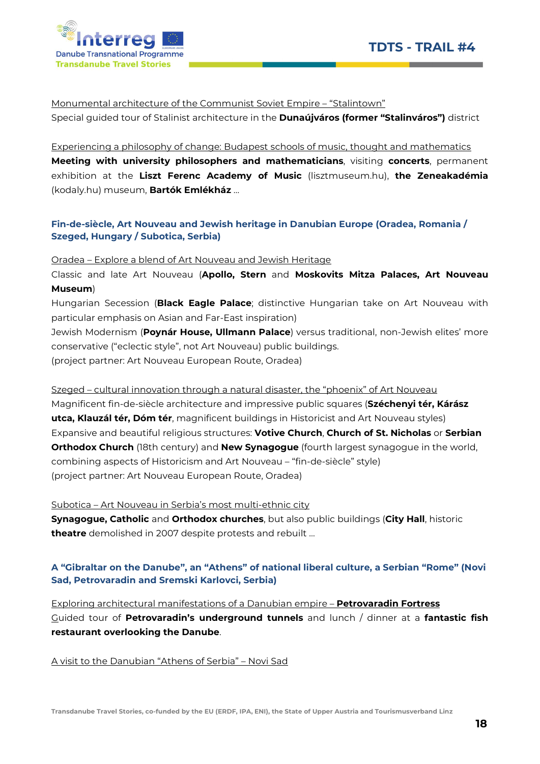



Monumental architecture of the Communist Soviet Empire – "Stalintown"

Special guided tour of Stalinist architecture in the **Dunaújváros (former "Stalinváros")** district

Experiencing a philosophy of change: Budapest schools of music, thought and mathematics Meeting with university philosophers and mathematicians, visiting concerts, permanent exhibition at the Liszt Ferenc Academy of Music (lisztmuseum.hu), the Zeneakadémia (kodaly.hu) museum, Bartók Emlékház …

#### Fin-de-siècle, Art Nouveau and Jewish heritage in Danubian Europe (Oradea, Romania / Szeged, Hungary / Subotica, Serbia)

Oradea – Explore a blend of Art Nouveau and Jewish Heritage

Classic and late Art Nouveau (Apollo, Stern and Moskovits Mitza Palaces, Art Nouveau Museum)

Hungarian Secession (Black Eagle Palace; distinctive Hungarian take on Art Nouveau with particular emphasis on Asian and Far-East inspiration)

Jewish Modernism (Poynár House, Ullmann Palace) versus traditional, non-Jewish elites' more conservative ("eclectic style", not Art Nouveau) public buildings. (project partner: Art Nouveau European Route, Oradea)

Szeged – cultural innovation through a natural disaster, the "phoenix" of Art Nouveau

Magnificent fin-de-siècle architecture and impressive public squares (Széchenyi tér, Kárász utca, Klauzál tér, Dóm tér, magnificent buildings in Historicist and Art Nouveau styles) Expansive and beautiful religious structures: Votive Church, Church of St. Nicholas or Serbian Orthodox Church (18th century) and New Synagogue (fourth largest synagogue in the world, combining aspects of Historicism and Art Nouveau – "fin-de-siècle" style) (project partner: Art Nouveau European Route, Oradea)

Subotica – Art Nouveau in Serbia's most multi-ethnic city

Synagogue, Catholic and Orthodox churches, but also public buildings (City Hall, historic theatre demolished in 2007 despite protests and rebuilt ...

#### A "Gibraltar on the Danube", an "Athens" of national liberal culture, a Serbian "Rome" (Novi Sad, Petrovaradin and Sremski Karlovci, Serbia)

Exploring architectural manifestations of a Danubian empire - **Petrovaradin Fortress** Guided tour of Petrovaradin's underground tunnels and lunch / dinner at a fantastic fish restaurant overlooking the Danube.

A visit to the Danubian "Athens of Serbia" – Novi Sad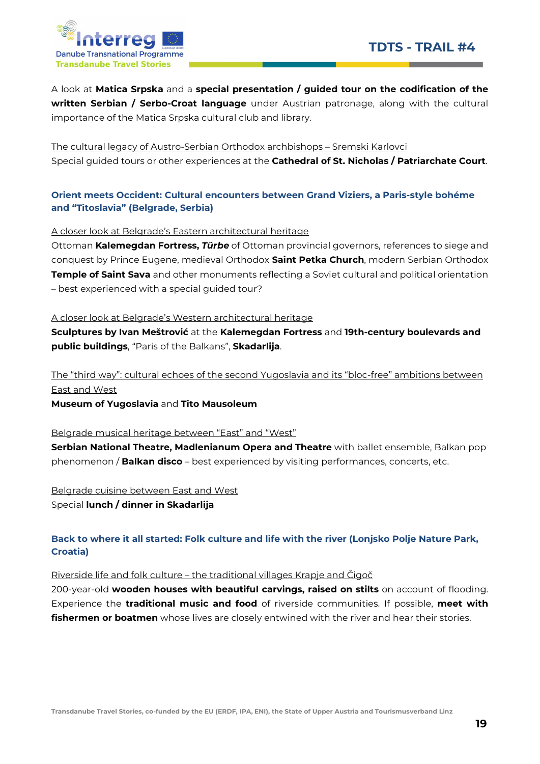

A look at Matica Srpska and a special presentation / guided tour on the codification of the written Serbian / Serbo-Croat language under Austrian patronage, along with the cultural importance of the Matica Srpska cultural club and library.

The cultural legacy of Austro-Serbian Orthodox archbishops – Sremski Karlovci Special guided tours or other experiences at the Cathedral of St. Nicholas / Patriarchate Court.

#### Orient meets Occident: Cultural encounters between Grand Viziers, a Paris-style bohéme and "Titoslavia" (Belgrade, Serbia)

A closer look at Belgrade's Eastern architectural heritage

Ottoman Kalemegdan Fortress, Türbe of Ottoman provincial governors, references to siege and conquest by Prince Eugene, medieval Orthodox Saint Petka Church, modern Serbian Orthodox **Temple of Saint Sava** and other monuments reflecting a Soviet cultural and political orientation – best experienced with a special guided tour?

A closer look at Belgrade's Western architectural heritage

Sculptures by Ivan Meštrović at the Kalemegdan Fortress and 19th-century boulevards and public buildings, "Paris of the Balkans", Skadarlija.

The "third way": cultural echoes of the second Yugoslavia and its "bloc-free" ambitions between East and West

Museum of Yugoslavia and Tito Mausoleum

Belgrade musical heritage between "East" and "West"

Serbian National Theatre, Madlenianum Opera and Theatre with ballet ensemble, Balkan pop phenomenon / Balkan disco - best experienced by visiting performances, concerts, etc.

Belgrade cuisine between East and West Special lunch / dinner in Skadarlija

#### Back to where it all started: Folk culture and life with the river (Lonjsko Polje Nature Park, Croatia)

Riverside life and folk culture – the traditional villages Krapje and Čigoč

200-year-old wooden houses with beautiful carvings, raised on stilts on account of flooding. Experience the **traditional music and food** of riverside communities. If possible, meet with **fishermen or boatmen** whose lives are closely entwined with the river and hear their stories.